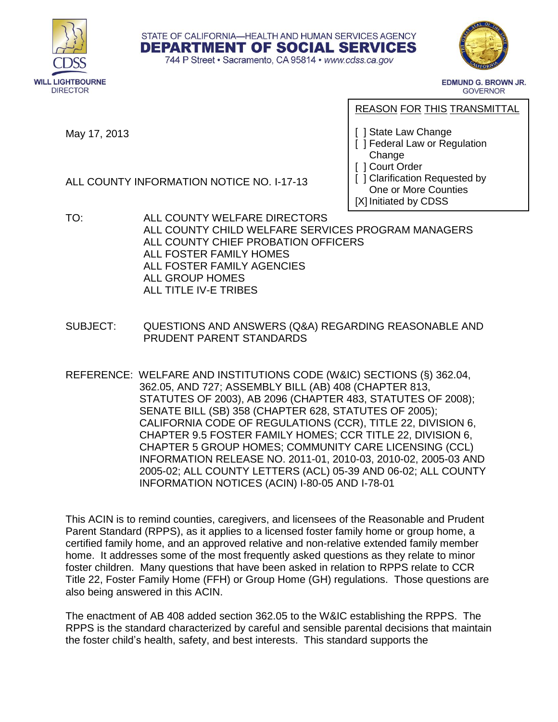





**EDMUND G. BROWN JR. GOVERNOR** 

May 17, 2013

ALL COUNTY INFORMATION NOTICE NO. I-17-13

REASON FOR THIS TRANSMITTAL

[ ] State Law Change

- [ ] Federal Law or Regulation Change
- [ ] Court Order

[ ] Clarification Requested by One or More Counties [X] Initiated by CDSS

- TO: ALL COUNTY WELFARE DIRECTORS ALL COUNTY CHILD WELFARE SERVICES PROGRAM MANAGERS ALL COUNTY CHIEF PROBATION OFFICERS ALL FOSTER FAMILY HOMES ALL FOSTER FAMILY AGENCIES ALL GROUP HOMES ALL TITLE IV-E TRIBES
- SUBJECT: QUESTIONS AND ANSWERS (Q&A) REGARDING REASONABLE AND PRUDENT PARENT STANDARDS
- REFERENCE: WELFARE AND INSTITUTIONS CODE (W&IC) SECTIONS (§) 362.04, 362.05, AND 727; ASSEMBLY BILL (AB) 408 (CHAPTER 813, STATUTES OF 2003), AB 2096 (CHAPTER 483, STATUTES OF 2008); SENATE BILL (SB) 358 (CHAPTER 628, STATUTES OF 2005); CALIFORNIA CODE OF REGULATIONS (CCR), TITLE 22, DIVISION 6, CHAPTER 9.5 FOSTER FAMILY HOMES; CCR TITLE 22, DIVISION 6, CHAPTER 5 GROUP HOMES; COMMUNITY CARE LICENSING (CCL) INFORMATION RELEASE NO. 2011-01, 2010-03, 2010-02, 2005-03 AND 2005-02; ALL COUNTY LETTERS (ACL) 05-39 AND 06-02; ALL COUNTY INFORMATION NOTICES (ACIN) I-80-05 AND I-78-01

This ACIN is to remind counties, caregivers, and licensees of the Reasonable and Prudent Parent Standard (RPPS), as it applies to a licensed foster family home or group home, a certified family home, and an approved relative and non-relative extended family member home. It addresses some of the most frequently asked questions as they relate to minor foster children. Many questions that have been asked in relation to RPPS relate to CCR Title 22, Foster Family Home (FFH) or Group Home (GH) regulations. Those questions are also being answered in this ACIN.

The enactment of AB 408 added section 362.05 to the W&IC establishing the RPPS. The RPPS is the standard characterized by careful and sensible parental decisions that maintain the foster child's health, safety, and best interests. This standard supports the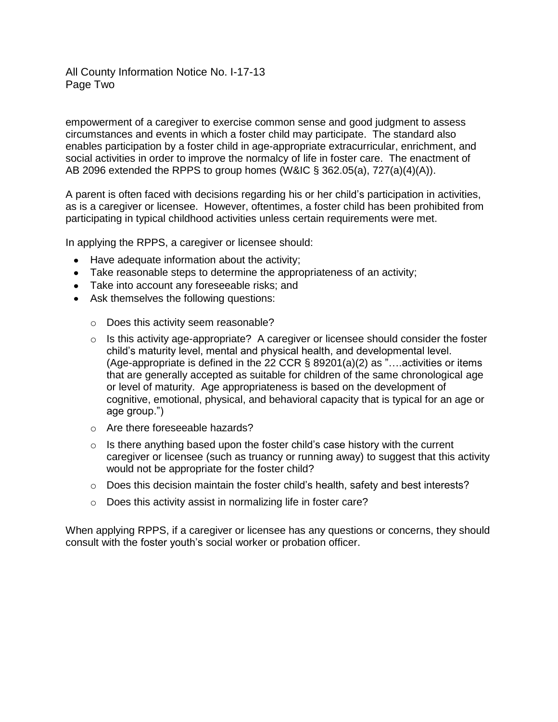## All County Information Notice No. I-17-13 Page Two

empowerment of a caregiver to exercise common sense and good judgment to assess circumstances and events in which a foster child may participate. The standard also enables participation by a foster child in age-appropriate extracurricular, enrichment, and social activities in order to improve the normalcy of life in foster care. The enactment of AB 2096 extended the RPPS to group homes (W&IC § 362.05(a), 727(a)(4)(A)).

A parent is often faced with decisions regarding his or her child's participation in activities, as is a caregiver or licensee. However, oftentimes, a foster child has been prohibited from participating in typical childhood activities unless certain requirements were met.

In applying the RPPS, a caregiver or licensee should:

- Have adequate information about the activity;
- Take reasonable steps to determine the appropriateness of an activity;
- Take into account any foreseeable risks; and
- Ask themselves the following questions:
	- o Does this activity seem reasonable?
	- $\circ$  Is this activity age-appropriate? A caregiver or licensee should consider the foster child's maturity level, mental and physical health, and developmental level. (Age-appropriate is defined in the 22 CCR § 89201(a)(2) as "….activities or items that are generally accepted as suitable for children of the same chronological age or level of maturity. Age appropriateness is based on the development of cognitive, emotional, physical, and behavioral capacity that is typical for an age or age group.")
	- o Are there foreseeable hazards?
	- $\circ$  Is there anything based upon the foster child's case history with the current caregiver or licensee (such as truancy or running away) to suggest that this activity would not be appropriate for the foster child?
	- $\circ$  Does this decision maintain the foster child's health, safety and best interests?
	- o Does this activity assist in normalizing life in foster care?

When applying RPPS, if a caregiver or licensee has any questions or concerns, they should consult with the foster youth's social worker or probation officer.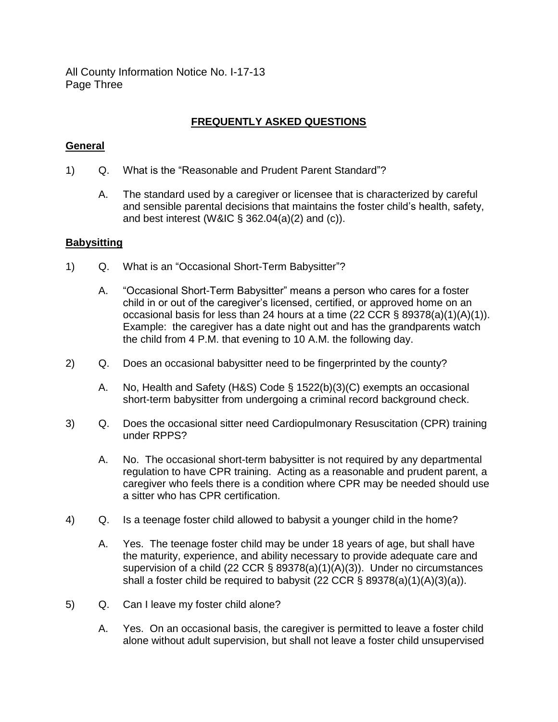All County Information Notice No. I-17-13 Page Three

# **FREQUENTLY ASKED QUESTIONS**

## **General**

- 1) Q. What is the "Reasonable and Prudent Parent Standard"?
	- A. The standard used by a caregiver or licensee that is characterized by careful and sensible parental decisions that maintains the foster child's health, safety, and best interest (W&IC  $\S$  362.04(a)(2) and (c)).

#### **Babysitting**

- 1) Q. What is an "Occasional Short-Term Babysitter"?
	- A. "Occasional Short-Term Babysitter" means a person who cares for a foster child in or out of the caregiver's licensed, certified, or approved home on an occasional basis for less than 24 hours at a time (22 CCR § 89378(a)(1)(A)(1)). Example: the caregiver has a date night out and has the grandparents watch the child from 4 P.M. that evening to 10 A.M. the following day.
- 2) Q. Does an occasional babysitter need to be fingerprinted by the county?
	- A. No, Health and Safety (H&S) Code § 1522(b)(3)(C) exempts an occasional short-term babysitter from undergoing a criminal record background check.
- 3) Q. Does the occasional sitter need Cardiopulmonary Resuscitation (CPR) training under RPPS?
	- A. No. The occasional short-term babysitter is not required by any departmental regulation to have CPR training. Acting as a reasonable and prudent parent, a caregiver who feels there is a condition where CPR may be needed should use a sitter who has CPR certification.
- 4) Q. Is a teenage foster child allowed to babysit a younger child in the home?
	- A. Yes. The teenage foster child may be under 18 years of age, but shall have the maturity, experience, and ability necessary to provide adequate care and supervision of a child (22 CCR § 89378(a)(1)(A)(3)). Under no circumstances shall a foster child be required to babysit (22 CCR § 89378(a)(1)(A)(3)(a)).
- 5) Q. Can I leave my foster child alone?
	- A. Yes. On an occasional basis, the caregiver is permitted to leave a foster child alone without adult supervision, but shall not leave a foster child unsupervised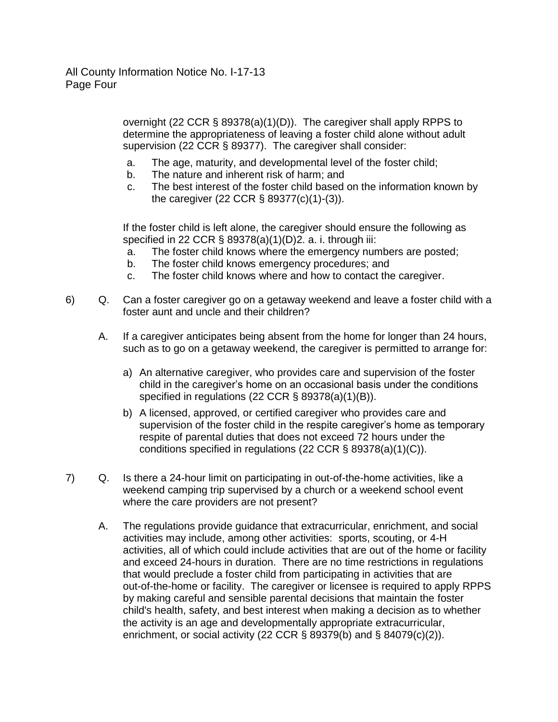overnight (22 CCR § 89378(a)(1)(D)). The caregiver shall apply RPPS to determine the appropriateness of leaving a foster child alone without adult supervision (22 CCR § 89377). The caregiver shall consider:

- a. The age, maturity, and developmental level of the foster child;
- b. The nature and inherent risk of harm; and
- c. The best interest of the foster child based on the information known by the caregiver (22 CCR § 89377(c)(1)-(3)).

If the foster child is left alone, the caregiver should ensure the following as specified in 22 CCR § 89378(a)(1)(D)2. a. i. through iii:

- a. The foster child knows where the emergency numbers are posted;
- b. The foster child knows emergency procedures; and
- c. The foster child knows where and how to contact the caregiver.
- 6) Q. Can a foster caregiver go on a getaway weekend and leave a foster child with a foster aunt and uncle and their children?
	- A. If a caregiver anticipates being absent from the home for longer than 24 hours, such as to go on a getaway weekend, the caregiver is permitted to arrange for:
		- a) An alternative caregiver, who provides care and supervision of the foster child in the caregiver's home on an occasional basis under the conditions specified in regulations (22 CCR § 89378(a)(1)(B)).
		- b) A licensed, approved, or certified caregiver who provides care and supervision of the foster child in the respite caregiver's home as temporary respite of parental duties that does not exceed 72 hours under the conditions specified in regulations (22 CCR § 89378(a)(1)(C)).
- 7) Q. Is there a 24-hour limit on participating in out-of-the-home activities, like a weekend camping trip supervised by a church or a weekend school event where the care providers are not present?
	- A. The regulations provide guidance that extracurricular, enrichment, and social activities may include, among other activities: sports, scouting, or 4-H activities, all of which could include activities that are out of the home or facility and exceed 24-hours in duration. There are no time restrictions in regulations that would preclude a foster child from participating in activities that are out-of-the-home or facility. The caregiver or licensee is required to apply RPPS by making careful and sensible parental decisions that maintain the foster child's health, safety, and best interest when making a decision as to whether the activity is an age and developmentally appropriate extracurricular, enrichment, or social activity (22 CCR § 89379(b) and § 84079(c)(2)).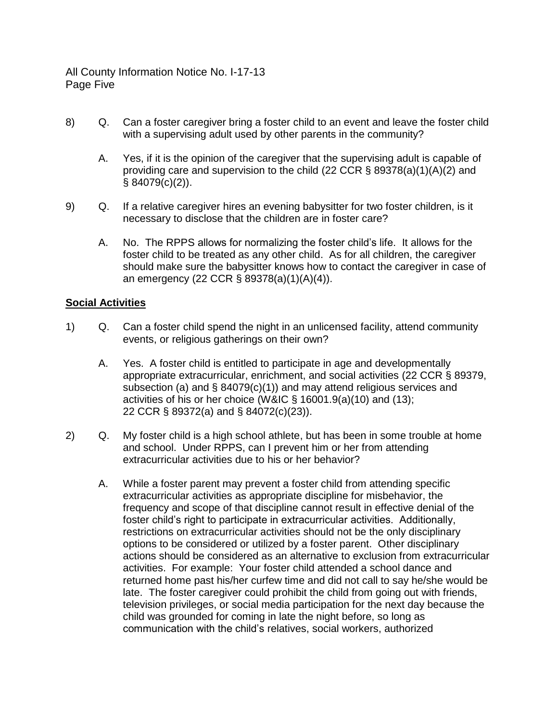All County Information Notice No. I-17-13 Page Five

- 8) Q. Can a foster caregiver bring a foster child to an event and leave the foster child with a supervising adult used by other parents in the community?
	- A. Yes, if it is the opinion of the caregiver that the supervising adult is capable of providing care and supervision to the child (22 CCR [§ 89378\(a\)\(1\)\(A\)\(2\)](http://www.dss.cahwnet.gov/ord/entres/getinfo/pdf/ffhman3.pdf) and [§ 84079\(c\)\(2\)\)](http://www.dss.cahwnet.gov/ord/entres/getinfo/pdf/ghman3.pdf).
- 9) Q. If a relative caregiver hires an evening babysitter for two foster children, is it necessary to disclose that the children are in foster care?
	- A. No. The RPPS allows for normalizing the foster child's life. It allows for the foster child to be treated as any other child. As for all children, the caregiver should make sure the babysitter knows how to contact the caregiver in case of an emergency (22 CCR § [89378\(a\)\(1\)\(A\)\(4\)\)](http://www.dss.cahwnet.gov/ord/entres/getinfo/pdf/ffhman3.pdf).

#### **Social Activities**

- 1) Q. Can a foster child spend the night in an unlicensed facility, attend community events, or religious gatherings on their own?
	- A. Yes. A foster child is entitled to participate in age and developmentally appropriate extracurricular, enrichment, and social activities (22 CCR § 89379, subsection (a) and § 84079(c)(1)) and may attend religious services and activities of his or her choice (W&IC § 16001.9(a)(10) and (13); 22 CCR § 89372(a) and § 84072(c)(23)).
- 2) Q. My foster child is a high school athlete, but has been in some trouble at home and school. Under RPPS, can I prevent him or her from attending extracurricular activities due to his or her behavior?
	- A. While a foster parent may prevent a foster child from attending specific extracurricular activities as appropriate discipline for misbehavior, the frequency and scope of that discipline cannot result in effective denial of the foster child's right to participate in extracurricular activities. Additionally, restrictions on extracurricular activities should not be the only disciplinary options to be considered or utilized by a foster parent. Other disciplinary actions should be considered as an alternative to exclusion from extracurricular activities. For example: Your foster child attended a school dance and returned home past his/her curfew time and did not call to say he/she would be late. The foster caregiver could prohibit the child from going out with friends, television privileges, or social media participation for the next day because the child was grounded for coming in late the night before, so long as communication with the child's relatives, social workers, authorized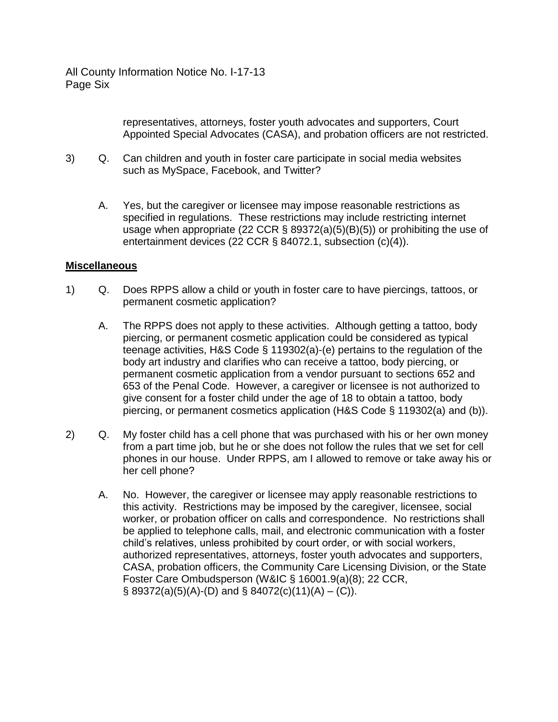All County Information Notice No. I-17-13 Page Six

> representatives, attorneys, foster youth advocates and supporters, Court Appointed Special Advocates (CASA), and probation officers are not restricted.

- 3) Q. Can children and youth in foster care participate in social media websites such as MySpace, Facebook, and Twitter?
	- A. Yes, but the caregiver or licensee may impose reasonable restrictions as specified in regulations. These restrictions may include restricting internet usage when appropriate (22 CCR § 89372(a)(5)(B)(5)) or prohibiting the use of entertainment devices (22 CCR § 84072.1, subsection (c)(4)).

## **Miscellaneous**

- 1) Q. Does RPPS allow a child or youth in foster care to have piercings, tattoos, or permanent cosmetic application?
	- A. The RPPS does not apply to these activities. Although getting a tattoo, body piercing, or permanent cosmetic application could be considered as typical teenage activities, H&S Code § 119302(a)-(e) pertains to the regulation of the body art industry and clarifies who can receive a tattoo, body piercing, or permanent cosmetic application from a vendor pursuant to sections 652 and 653 of the Penal Code. However, a caregiver or licensee is not authorized to give consent for a foster child under the age of 18 to obtain a tattoo, body piercing, or permanent cosmetics application (H&S Code § 119302(a) and (b)).
- 2) Q. My foster child has a cell phone that was purchased with his or her own money from a part time job, but he or she does not follow the rules that we set for cell phones in our house. Under RPPS, am I allowed to remove or take away his or her cell phone?
	- A. No. However, the caregiver or licensee may apply reasonable restrictions to this activity. Restrictions may be imposed by the caregiver, licensee, social worker, or probation officer on calls and correspondence. No restrictions shall be applied to telephone calls, mail, and electronic communication with a foster child's relatives, unless prohibited by court order, or with social workers, authorized representatives, attorneys, foster youth advocates and supporters, CASA, probation officers, the Community Care Licensing Division, or the State Foster Care Ombudsperson (W&IC § 16001.9(a)(8); 22 CCR,  $\S$  89372(a)(5)(A)-(D) and  $\S$  84072(c)(11)(A) – (C)).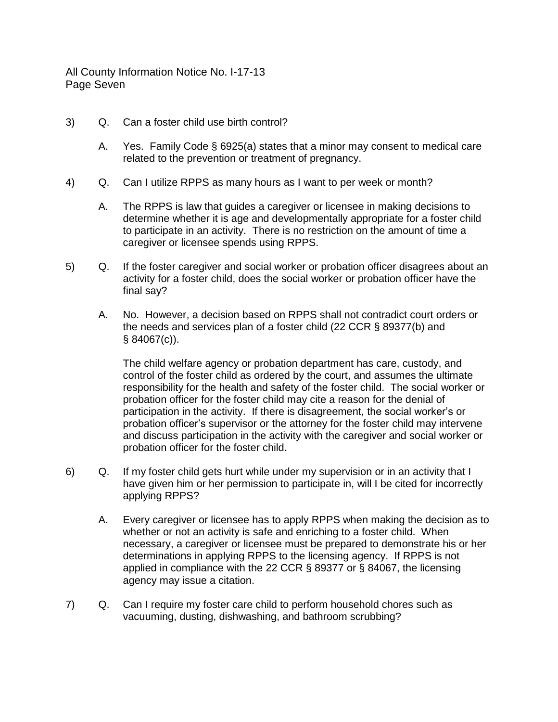All County Information Notice No. I-17-13 Page Seven

- 3) Q. Can a foster child use birth control?
	- A. Yes. Family Code § 6925(a) states that a minor may consent to medical care related to the prevention or treatment of pregnancy.
- 4) Q. Can I utilize RPPS as many hours as I want to per week or month?
	- A. The RPPS is law that guides a caregiver or licensee in making decisions to determine whether it is age and developmentally appropriate for a foster child to participate in an activity. There is no restriction on the amount of time a caregiver or licensee spends using RPPS.
- 5) Q. If the foster caregiver and social worker or probation officer disagrees about an activity for a foster child, does the social worker or probation officer have the final say?
	- A. No. However, a decision based on RPPS shall not contradict court orders or the needs and services plan of a foster child (22 CCR § 89377(b) and § 84067(c)).

The child welfare agency or probation department has care, custody, and control of the foster child as ordered by the court, and assumes the ultimate responsibility for the health and safety of the foster child. The social worker or probation officer for the foster child may cite a reason for the denial of participation in the activity. If there is disagreement, the social worker's or probation officer's supervisor or the attorney for the foster child may intervene and discuss participation in the activity with the caregiver and social worker or probation officer for the foster child.

- 6) Q. If my foster child gets hurt while under my supervision or in an activity that I have given him or her permission to participate in, will I be cited for incorrectly applying RPPS?
	- A. Every caregiver or licensee has to apply RPPS when making the decision as to whether or not an activity is safe and enriching to a foster child. When necessary, a caregiver or licensee must be prepared to demonstrate his or her determinations in applying RPPS to the licensing agency. If RPPS is not applied in compliance with the 22 CCR § 89377 or § 84067, the licensing agency may issue a citation.
- 7) Q. Can I require my foster care child to perform household chores such as vacuuming, dusting, dishwashing, and bathroom scrubbing?